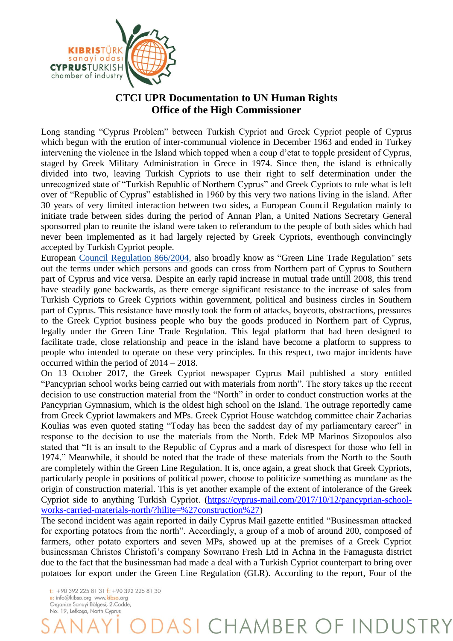

## **CTCI UPR Documentation to UN Human Rights Office of the High Commissioner**

Long standing "Cyprus Problem" between Turkish Cypriot and Greek Cypriot people of Cyprus which begun with the erution of inter-communual violence in December 1963 and ended in Turkey intervening the violence in the Island which topped when a coup d'etat to topple president of Cyprus, staged by Greek Military Administration in Grece in 1974. Since then, the island is ethnically divided into two, leaving Turkish Cypriots to use their right to self determination under the unrecognized state of "Turkish Republic of Northern Cyprus" and Greek Cypriots to rule what is left over of "Republic of Cyprus" established in 1960 by this very two nations living in the island. After 30 years of very limited interaction between two sides, a European Council Regulation mainly to initiate trade between sides during the period of Annan Plan, a United Nations Secretary General sponsorred plan to reunite the island were taken to referandum to the people of both sides which had never been implemented as it had largely rejected by Greek Cypriots, eventhough convincingly accepted by Turkish Cypriot people.

European [Council Regulation 866/2004,](http://eur-lex.europa.eu/legal-content/EN/TXT/?qid=1481620173103&uri=CELEX:02004R0866-20150831) also broadly know as "Green Line Trade Regulation" sets out the terms under which persons and goods can cross from Northern part of Cyprus to Southern part of Cyprus and vice versa. Despite an early rapid increase in mutual trade untill 2008, this trend have steadily gone backwards, as there emerge significant resistance to the increase of sales from Turkish Cypriots to Greek Cypriots within government, political and business circles in Southern part of Cyprus. This resistance have mostly took the form of attacks, boycotts, obstractions, pressures to the Greek Cypriot business people who buy the goods produced in Northern part of Cyprus, legally under the Green Line Trade Regulation. This legal platform that had been designed to facilitate trade, close relationship and peace in the island have become a platform to suppress to people who intended to operate on these very principles. In this respect, two major incidents have occurred within the period of 2014 – 2018.

On 13 October 2017, the Greek Cypriot newspaper Cyprus Mail published a story entitled "Pancyprian school works being carried out with materials from north". The story takes up the recent decision to use construction material from the "North" in order to conduct construction works at the Pancyprian Gymnasium, which is the oldest high school on the Island. The outrage reportedly came from Greek Cypriot lawmakers and MPs. Greek Cypriot House watchdog committee chair Zacharias Koulias was even quoted stating "Today has been the saddest day of my parliamentary career" in response to the decision to use the materials from the North. Edek MP Marinos Sizopoulos also stated that "It is an insult to the Republic of Cyprus and a mark of disrespect for those who fell in 1974." Meanwhile, it should be noted that the trade of these materials from the North to the South are completely within the Green Line Regulation. It is, once again, a great shock that Greek Cypriots, particularly people in positions of political power, choose to politicize something as mundane as the origin of construction material. This is yet another example of the extent of intolerance of the Greek Cypriot side to anything Turkish Cypriot. [\(https://cyprus-mail.com/2017/10/12/pancyprian-school](https://cyprus-mail.com/2017/10/12/pancyprian-school-works-carried-materials-north/?hilite=%27construction%27)[works-carried-materials-north/?hilite=%27construction%27\)](https://cyprus-mail.com/2017/10/12/pancyprian-school-works-carried-materials-north/?hilite=%27construction%27)

The second incident was again reported in daily Cyprus Mail gazette entitled "Businessman attacked for exporting potatoes from the north". Accordingly, a group of a mob of around 200, composed of farmers, other potato exporters and seven MPs, showed up at the premises of a Greek Cypriot businessman Christos Christofi's company Sowrrano Fresh Ltd in Achna in the Famagusta district due to the fact that the businessman had made a deal with a Turkish Cypriot counterpart to bring over potatoes for export under the Green Line Regulation (GLR). According to the report, Four of the

 $+903922258131 + 903922258130$ e: info@kibso.org www.kibso.org Organize Sanayi Bölgesi, 2.Cadde, No: 19, Lefkosa, North Cyprus

DASI CHAMBER OF INDUSTRY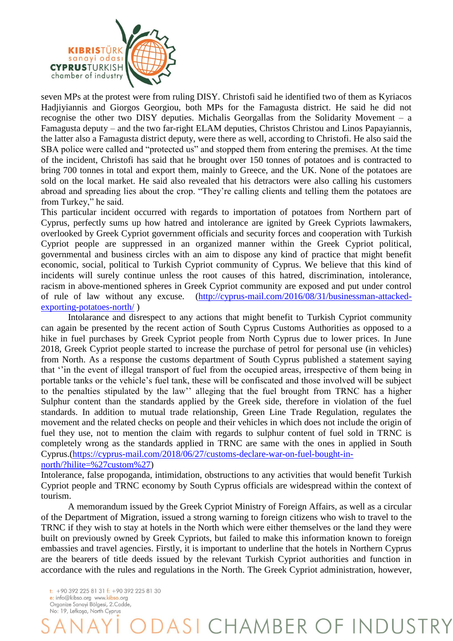

seven MPs at the protest were from ruling DISY. Christofi said he identified two of them as Kyriacos Hadjiyiannis and Giorgos Georgiou, both MPs for the Famagusta district. He said he did not recognise the other two DISY deputies. Michalis Georgallas from the Solidarity Movement – a Famagusta deputy – and the two far-right ELAM deputies, Christos Christou and Linos Papayiannis, the latter also a Famagusta district deputy, were there as well, according to Christofi. He also said the SBA police were called and "protected us" and stopped them from entering the premises. At the time of the incident, Christofi has said that he brought over 150 tonnes of potatoes and is contracted to bring 700 tonnes in total and export them, mainly to Greece, and the UK. None of the potatoes are sold on the local market. He said also revealed that his detractors were also calling his customers abroad and spreading lies about the crop. "They're calling clients and telling them the potatoes are from Turkey," he said.

This particular incident occurred with regards to importation of potatoes from Northern part of Cyprus, perfectly sums up how hatred and intolerance are ignited by Greek Cypriots lawmakers, overlooked by Greek Cypriot government officials and security forces and cooperation with Turkish Cypriot people are suppressed in an organized manner within the Greek Cypriot political, governmental and business circles with an aim to dispose any kind of practice that might benefit economic, social, political to Turkish Cypriot community of Cyprus. We believe that this kind of incidents will surely continue unless the root causes of this hatred, discrimination, intolerance, racism in above-mentioned spheres in Greek Cypriot community are exposed and put under control of rule of law without any excuse. [\(http://cyprus-mail.com/2016/08/31/businessman-attacked](http://cyprus-mail.com/2016/08/31/businessman-attacked-exporting-potatoes-north/)[exporting-potatoes-north/](http://cyprus-mail.com/2016/08/31/businessman-attacked-exporting-potatoes-north/) )

Intolarance and disrespect to any actions that might benefit to Turkish Cypriot community can again be presented by the recent action of South Cyprus Customs Authorities as opposed to a hike in fuel purchases by Greek Cypriot people from North Cyprus due to lower prices. In June 2018, Greek Cypriot people started to increase the purchase of petrol for personal use (in vehicles) from North. As a response the customs department of South Cyprus published a statement saying that ''in the event of illegal transport of fuel from the occupied areas, irrespective of them being in portable tanks or the vehicle's fuel tank, these will be confiscated and those involved will be subject to the penalties stipulated by the law'' alleging that the fuel brought from TRNC has a higher Sulphur content than the standards applied by the Greek side, therefore in violation of the fuel standards. In addition to mutual trade relationship, Green Line Trade Regulation, regulates the movement and the related checks on people and their vehicles in which does not include the origin of fuel they use, not to mention the claim with regards to sulphur content of fuel sold in TRNC is completely wrong as the standards applied in TRNC are same with the ones in applied in South Cyprus.[\(https://cyprus-mail.com/2018/06/27/customs-declare-war-on-fuel-bought-in](https://cyprus-mail.com/2018/06/27/customs-declare-war-on-fuel-bought-in-north/?hilite=%27custom%27)[north/?hilite=%27custom%27\)](https://cyprus-mail.com/2018/06/27/customs-declare-war-on-fuel-bought-in-north/?hilite=%27custom%27)

Intolerance, false propoganda, intimidation, obstructions to any activities that would benefit Turkish Cypriot people and TRNC economy by South Cyprus officials are widespread within the context of tourism.

A memorandum issued by the Greek Cypriot Ministry of Foreign Affairs, as well as a circular of the Department of Migration, issued a strong warning to foreign citizens who wish to travel to the TRNC if they wish to stay at hotels in the North which were either themselves or the land they were built on previously owned by Greek Cypriots, but failed to make this information known to foreign embassies and travel agencies. Firstly, it is important to underline that the hotels in Northern Cyprus are the bearers of title deeds issued by the relevant Turkish Cypriot authorities and function in accordance with the rules and regulations in the North. The Greek Cypriot administration, however,

DASI CHAMBER OF INDUSTRY

 $\frac{1}{2}$  + 90 392 225 81 31  $\frac{1}{2}$  + 90 392 225 81 30 e: info@kibso.org www.kibso.org Organize Sanayi Bölgesi, 2.Cadde, No: 19, Lefkosa, North Cyprus